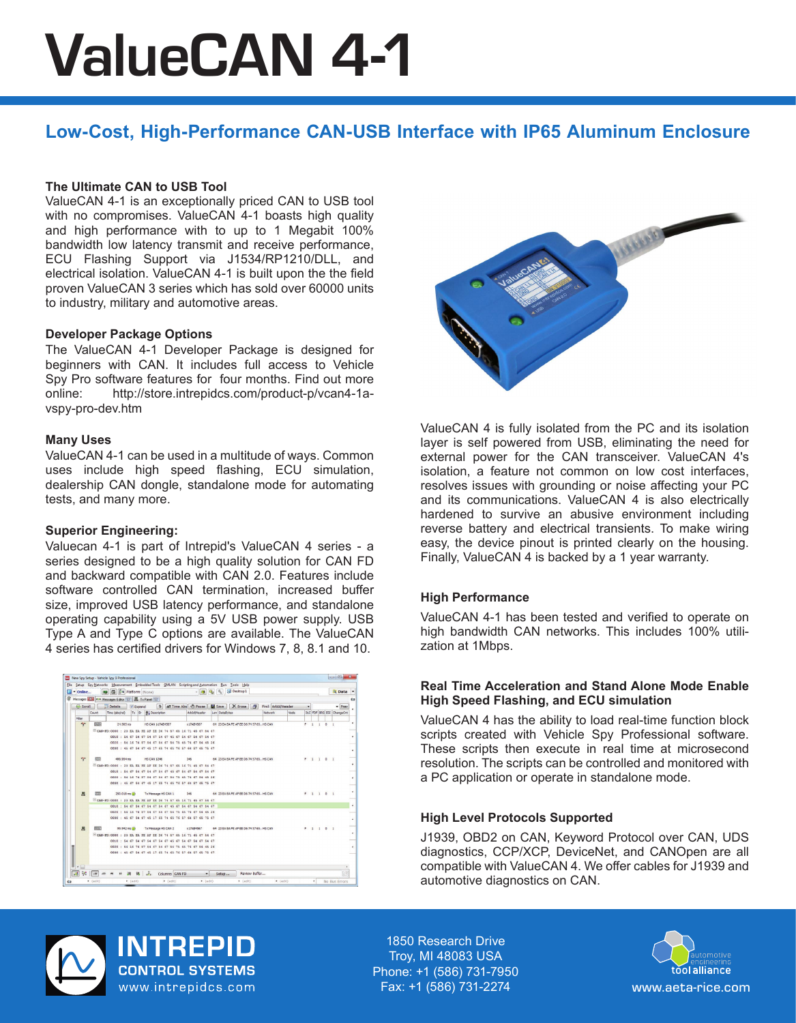# ValueCAN 4-1

# **Low-Cost, High-Performance CAN-USB Interface with IP65 Aluminum Enclosure**

# **The Ultimate CAN to USB Tool**

ValueCAN 4-1 is an exceptionally priced CAN to USB tool with no compromises. ValueCAN 4-1 boasts high quality and high performance with to up to 1 Megabit 100% bandwidth low latency transmit and receive performance, ECU Flashing Support via J1534/RP1210/DLL, and electrical isolation. ValueCAN 4-1 is built upon the the field proven ValueCAN 3 series which has sold over 60000 units to industry, military and automotive areas.

#### **Developer Package Options**

The ValueCAN 4-1 Developer Package is designed for beginners with CAN. It includes full access to Vehicle Spy Pro software features for four months. Find out more online: http://store.intrepidcs.com/product-p/vcan4-1avspy-pro-dev.htm

#### **Many Uses**

ValueCAN 4-1 can be used in a multitude of ways. Common uses include high speed flashing, ECU simulation, dealership CAN dongle, standalone mode for automating tests, and many more.

# **Superior Engineering:**

Valuecan 4-1 is part of Intrepid's ValueCAN 4 series - a series designed to be a high quality solution for CAN FD and backward compatible with CAN 2.0. Features include software controlled CAN termination, increased buffer size, improved USB latency performance, and standalone operating capability using a 5V USB power supply. USB Type A and Type C options are available. The ValueCAN 4 series has certified drivers for Windows 7, 8, 8.1 and 10.





ValueCAN 4 is fully isolated from the PC and its isolation layer is self powered from USB, eliminating the need for external power for the CAN transceiver. ValueCAN 4's isolation, a feature not common on low cost interfaces, resolves issues with grounding or noise affecting your PC and its communications. ValueCAN 4 is also electrically hardened to survive an abusive environment including reverse battery and electrical transients. To make wiring easy, the device pinout is printed clearly on the housing. Finally, ValueCAN 4 is backed by a 1 year warranty.

#### **High Performance**

ValueCAN 4-1 has been tested and verified to operate on high bandwidth CAN networks. This includes 100% utilization at 1Mbps.

#### **Real Time Acceleration and Stand Alone Mode Enable High Speed Flashing, and ECU simulation**

ValueCAN 4 has the ability to load real-time function block scripts created with Vehicle Spy Professional software. These scripts then execute in real time at microsecond resolution. The scripts can be controlled and monitored with a PC application or operate in standalone mode.

#### **High Level Protocols Supported**

J1939, OBD2 on CAN, Keyword Protocol over CAN, UDS diagnostics, CCP/XCP, DeviceNet, and CANOpen are all compatible with ValueCAN 4. We offer cables for J1939 and automotive diagnostics on CAN.



**INTREPID CONTROL SYSTEMS** www.intrepidcs.com

1850 Research Drive Troy, MI 48083 USA Phone: +1 (586) 731-7950 Fax: +1 (586) 731-2274